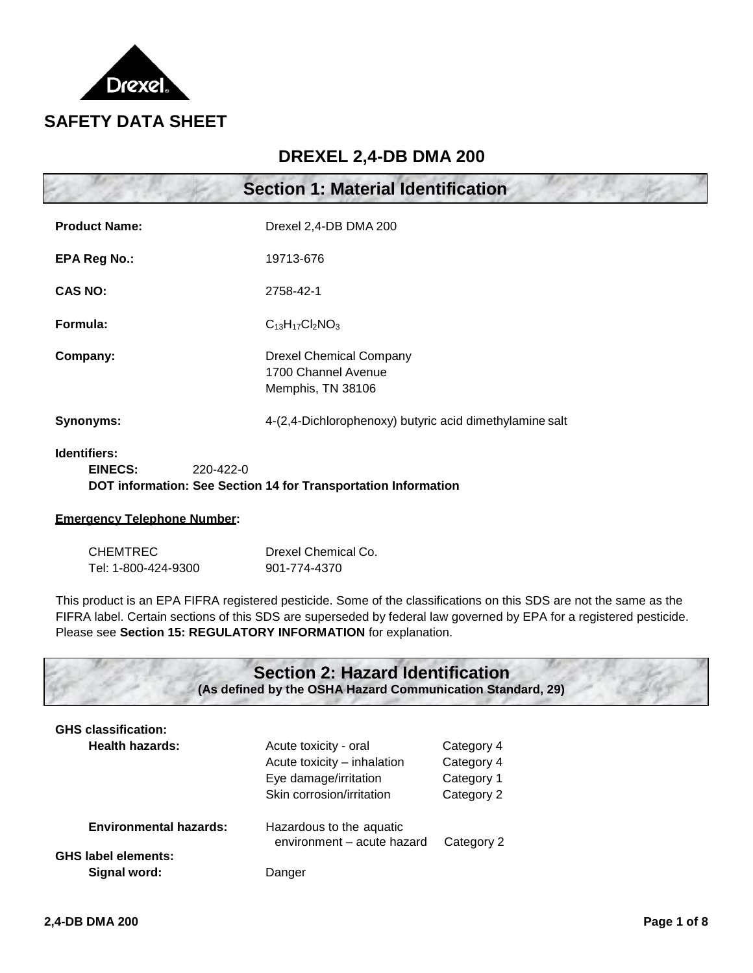

### **DREXEL 2,4-DB DMA 200**

|                                             | <b>Section 1: Material Identification</b>                                  |
|---------------------------------------------|----------------------------------------------------------------------------|
| <b>Product Name:</b>                        | Drexel 2,4-DB DMA 200                                                      |
| <b>EPA Reg No.:</b>                         | 19713-676                                                                  |
| <b>CAS NO:</b>                              | 2758-42-1                                                                  |
| Formula:                                    | $C_{13}H_{17}Cl_2NO_3$                                                     |
| Company:                                    | <b>Drexel Chemical Company</b><br>1700 Channel Avenue<br>Memphis, TN 38106 |
| Synonyms:                                   | 4-(2,4-Dichlorophenoxy) butyric acid dimethylamine salt                    |
| Identifiers:<br><b>EINECS:</b><br>220-422-0 | DOT information: See Section 14 for Transportation Information             |

# **Emergency Telephone Number:**

| CHEMTREC            | Drexel Chemical Co. |
|---------------------|---------------------|
| Tel: 1-800-424-9300 | 901-774-4370        |

This product is an EPA FIFRA registered pesticide. Some of the classifications on this SDS are not the same as the FIFRA label. Certain sections of this SDS are superseded by federal law governed by EPA for a registered pesticide. Please see **Section 15: REGULATORY INFORMATION** for explanation.

### **Section 2: Hazard Identification (As defined by the OSHA Hazard Communication Standard, 29)**

| <b>GHS classification:</b><br><b>Health hazards:</b>        | Acute toxicity - oral<br>Acute toxicity – inhalation<br>Eye damage/irritation<br>Skin corrosion/irritation | Category 4<br>Category 4<br>Category 1<br>Category 2 |
|-------------------------------------------------------------|------------------------------------------------------------------------------------------------------------|------------------------------------------------------|
| <b>Environmental hazards:</b><br><b>GHS label elements:</b> | Hazardous to the aquatic<br>environment - acute hazard                                                     | Category 2                                           |
| Signal word:                                                | Danger                                                                                                     |                                                      |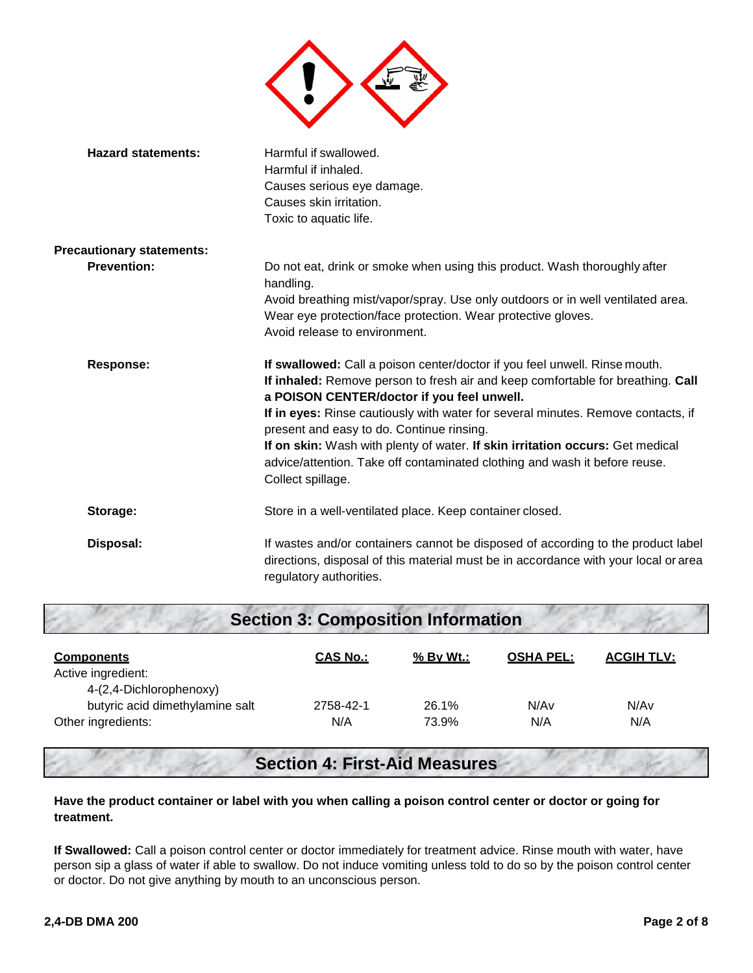

| <b>Hazard statements:</b>        | Harmful if swallowed.<br>Harmful if inhaled.<br>Causes serious eye damage.<br>Causes skin irritation.<br>Toxic to aquatic life.                                                                                                                                                                                                                                                                                                                                                                                                  |
|----------------------------------|----------------------------------------------------------------------------------------------------------------------------------------------------------------------------------------------------------------------------------------------------------------------------------------------------------------------------------------------------------------------------------------------------------------------------------------------------------------------------------------------------------------------------------|
| <b>Precautionary statements:</b> |                                                                                                                                                                                                                                                                                                                                                                                                                                                                                                                                  |
| <b>Prevention:</b>               | Do not eat, drink or smoke when using this product. Wash thoroughly after<br>handling.<br>Avoid breathing mist/vapor/spray. Use only outdoors or in well ventilated area.<br>Wear eye protection/face protection. Wear protective gloves.<br>Avoid release to environment.                                                                                                                                                                                                                                                       |
| <b>Response:</b>                 | If swallowed: Call a poison center/doctor if you feel unwell. Rinse mouth.<br>If inhaled: Remove person to fresh air and keep comfortable for breathing. Call<br>a POISON CENTER/doctor if you feel unwell.<br>If in eyes: Rinse cautiously with water for several minutes. Remove contacts, if<br>present and easy to do. Continue rinsing.<br>If on skin: Wash with plenty of water. If skin irritation occurs: Get medical<br>advice/attention. Take off contaminated clothing and wash it before reuse.<br>Collect spillage. |
| Storage:                         | Store in a well-ventilated place. Keep container closed.                                                                                                                                                                                                                                                                                                                                                                                                                                                                         |
| Disposal:                        | If wastes and/or containers cannot be disposed of according to the product label<br>directions, disposal of this material must be in accordance with your local or area<br>regulatory authorities.                                                                                                                                                                                                                                                                                                                               |

| <b>Section 3: Composition Information</b> |                 |           |                  |                   |
|-------------------------------------------|-----------------|-----------|------------------|-------------------|
| <b>Components</b>                         | <u>CAS No.:</u> | % By Wt.: | <b>OSHA PEL:</b> | <b>ACGIH TLV:</b> |
| Active ingredient:                        |                 |           |                  |                   |
| 4-(2,4-Dichlorophenoxy)                   |                 |           |                  |                   |
| butyric acid dimethylamine salt           | 2758-42-1       | 26.1%     | N/A <sub>v</sub> | N/Av              |
| Other ingredients:                        | N/A             | 73.9%     | N/A              | N/A               |

## **Section 4: First-Aid Measures**

#### **Have the product container or label with you when calling a poison control center or doctor or going for treatment.**

**If Swallowed:** Call a poison control center or doctor immediately for treatment advice. Rinse mouth with water, have person sip a glass of water if able to swallow. Do not induce vomiting unless told to do so by the poison control center or doctor. Do not give anything by mouth to an unconscious person.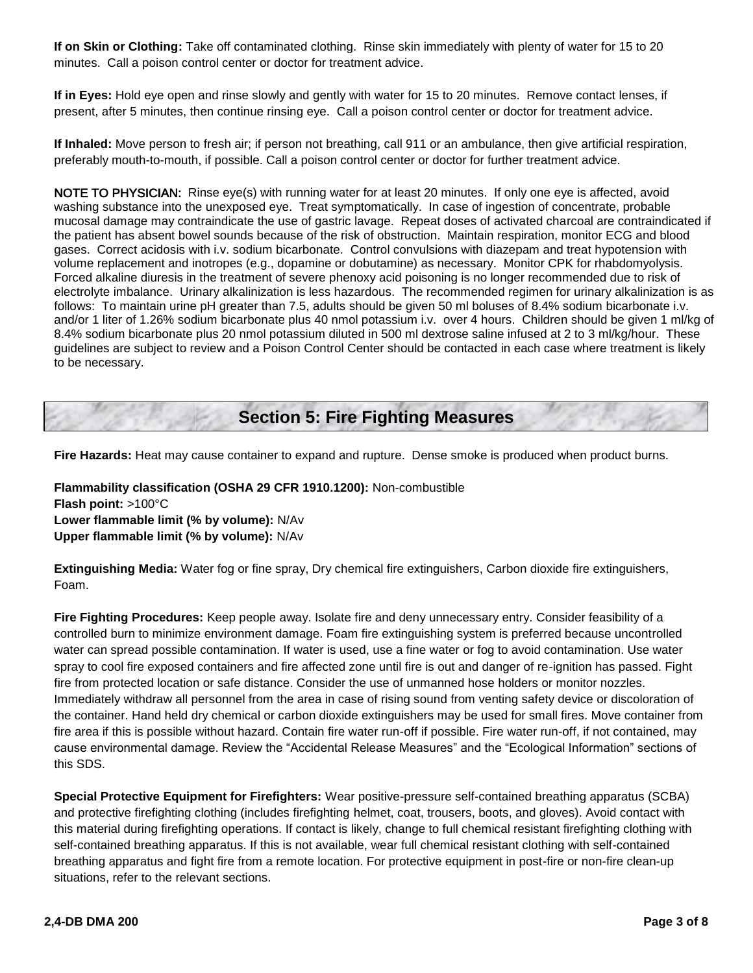**If on Skin or Clothing:** Take off contaminated clothing. Rinse skin immediately with plenty of water for 15 to 20 minutes. Call a poison control center or doctor for treatment advice.

**If in Eyes:** Hold eye open and rinse slowly and gently with water for 15 to 20 minutes. Remove contact lenses, if present, after 5 minutes, then continue rinsing eye. Call a poison control center or doctor for treatment advice.

**If Inhaled:** Move person to fresh air; if person not breathing, call 911 or an ambulance, then give artificial respiration, preferably mouth-to-mouth, if possible. Call a poison control center or doctor for further treatment advice.

NOTE TO PHYSICIAN: Rinse eye(s) with running water for at least 20 minutes. If only one eye is affected, avoid washing substance into the unexposed eye. Treat symptomatically. In case of ingestion of concentrate, probable mucosal damage may contraindicate the use of gastric lavage. Repeat doses of activated charcoal are contraindicated if the patient has absent bowel sounds because of the risk of obstruction. Maintain respiration, monitor ECG and blood gases. Correct acidosis with i.v. sodium bicarbonate. Control convulsions with diazepam and treat hypotension with volume replacement and inotropes (e.g., dopamine or dobutamine) as necessary. Monitor CPK for rhabdomyolysis. Forced alkaline diuresis in the treatment of severe phenoxy acid poisoning is no longer recommended due to risk of electrolyte imbalance. Urinary alkalinization is less hazardous. The recommended regimen for urinary alkalinization is as follows: To maintain urine pH greater than 7.5, adults should be given 50 ml boluses of 8.4% sodium bicarbonate i.v. and/or 1 liter of 1.26% sodium bicarbonate plus 40 nmol potassium i.v. over 4 hours. Children should be given 1 ml/kg of 8.4% sodium bicarbonate plus 20 nmol potassium diluted in 500 ml dextrose saline infused at 2 to 3 ml/kg/hour. These guidelines are subject to review and a Poison Control Center should be contacted in each case where treatment is likely to be necessary.

**Section 5: Fire Fighting Measures**

**Fire Hazards:** Heat may cause container to expand and rupture. Dense smoke is produced when product burns.

**Flammability classification (OSHA 29 CFR 1910.1200):** Non-combustible **Flash point:** >100°C **Lower flammable limit (% by volume):** N/Av **Upper flammable limit (% by volume):** N/Av

**Extinguishing Media:** Water fog or fine spray, Dry chemical fire extinguishers, Carbon dioxide fire extinguishers, Foam.

**Fire Fighting Procedures:** Keep people away. Isolate fire and deny unnecessary entry. Consider feasibility of a controlled burn to minimize environment damage. Foam fire extinguishing system is preferred because uncontrolled water can spread possible contamination. If water is used, use a fine water or fog to avoid contamination. Use water spray to cool fire exposed containers and fire affected zone until fire is out and danger of re-ignition has passed. Fight fire from protected location or safe distance. Consider the use of unmanned hose holders or monitor nozzles. Immediately withdraw all personnel from the area in case of rising sound from venting safety device or discoloration of the container. Hand held dry chemical or carbon dioxide extinguishers may be used for small fires. Move container from fire area if this is possible without hazard. Contain fire water run-off if possible. Fire water run-off, if not contained, may cause environmental damage. Review the "Accidental Release Measures" and the "Ecological Information" sections of this SDS.

**Special Protective Equipment for Firefighters:** Wear positive-pressure self-contained breathing apparatus (SCBA) and protective firefighting clothing (includes firefighting helmet, coat, trousers, boots, and gloves). Avoid contact with this material during firefighting operations. If contact is likely, change to full chemical resistant firefighting clothing with self-contained breathing apparatus. If this is not available, wear full chemical resistant clothing with self-contained breathing apparatus and fight fire from a remote location. For protective equipment in post-fire or non-fire clean-up situations, refer to the relevant sections.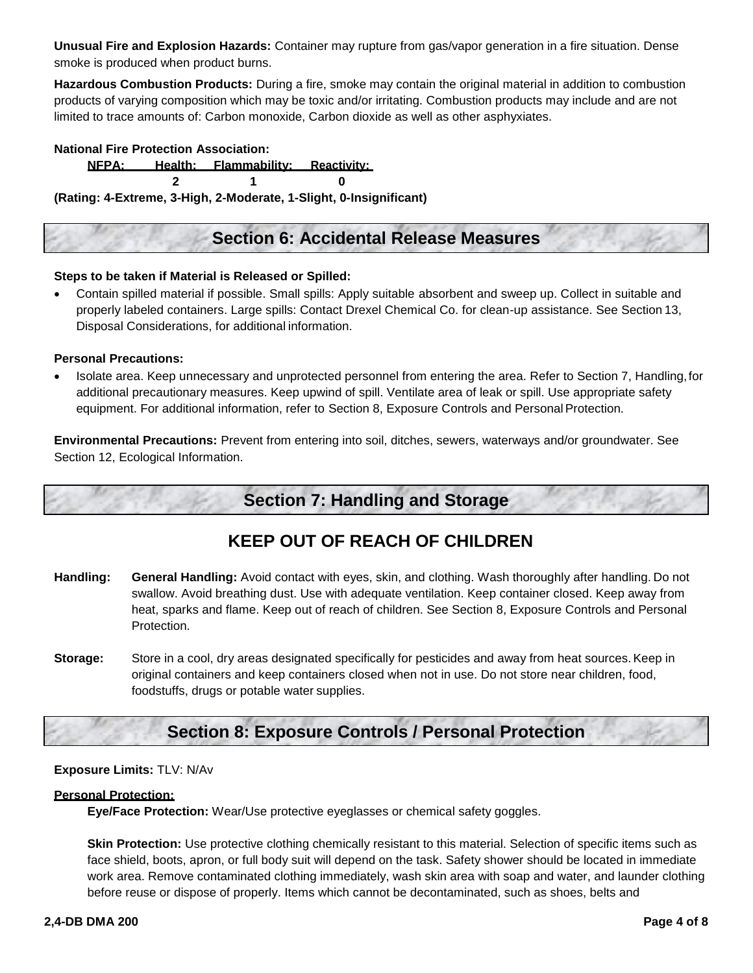**Unusual Fire and Explosion Hazards:** Container may rupture from gas/vapor generation in a fire situation. Dense smoke is produced when product burns.

**Hazardous Combustion Products:** During a fire, smoke may contain the original material in addition to combustion products of varying composition which may be toxic and/or irritating. Combustion products may include and are not limited to trace amounts of: Carbon monoxide, Carbon dioxide as well as other asphyxiates.

**National Fire Protection Association:** 

**NFPA: Health: Flammability: Reactivity: 2 1 0** 

**(Rating: 4-Extreme, 3-High, 2-Moderate, 1-Slight, 0-Insignificant)** 

### **Section 6: Accidental Release Measures**

#### **Steps to be taken if Material is Released or Spilled:**

 Contain spilled material if possible. Small spills: Apply suitable absorbent and sweep up. Collect in suitable and properly labeled containers. Large spills: Contact Drexel Chemical Co. for clean-up assistance. See Section 13, Disposal Considerations, for additional information.

#### **Personal Precautions:**

 Isolate area. Keep unnecessary and unprotected personnel from entering the area. Refer to Section 7, Handling, for additional precautionary measures. Keep upwind of spill. Ventilate area of leak or spill. Use appropriate safety equipment. For additional information, refer to Section 8, Exposure Controls and Personal Protection.

**Environmental Precautions:** Prevent from entering into soil, ditches, sewers, waterways and/or groundwater. See Section 12, Ecological Information.

### **Section 7: Handling and Storage**

### **KEEP OUT OF REACH OF CHILDREN**

- **Handling: General Handling:** Avoid contact with eyes, skin, and clothing. Wash thoroughly after handling. Do not swallow. Avoid breathing dust. Use with adequate ventilation. Keep container closed. Keep away from heat, sparks and flame. Keep out of reach of children. See Section 8, Exposure Controls and Personal Protection.
- **Storage:** Store in a cool, dry areas designated specifically for pesticides and away from heat sources. Keep in original containers and keep containers closed when not in use. Do not store near children, food, foodstuffs, drugs or potable water supplies.

### **Section 8: Exposure Controls / Personal Protection**

#### **Exposure Limits:** TLV: N/Av

#### **Personal Protection:**

**Eye/Face Protection:** Wear/Use protective eyeglasses or chemical safety goggles.

**Skin Protection:** Use protective clothing chemically resistant to this material. Selection of specific items such as face shield, boots, apron, or full body suit will depend on the task. Safety shower should be located in immediate work area. Remove contaminated clothing immediately, wash skin area with soap and water, and launder clothing before reuse or dispose of properly. Items which cannot be decontaminated, such as shoes, belts and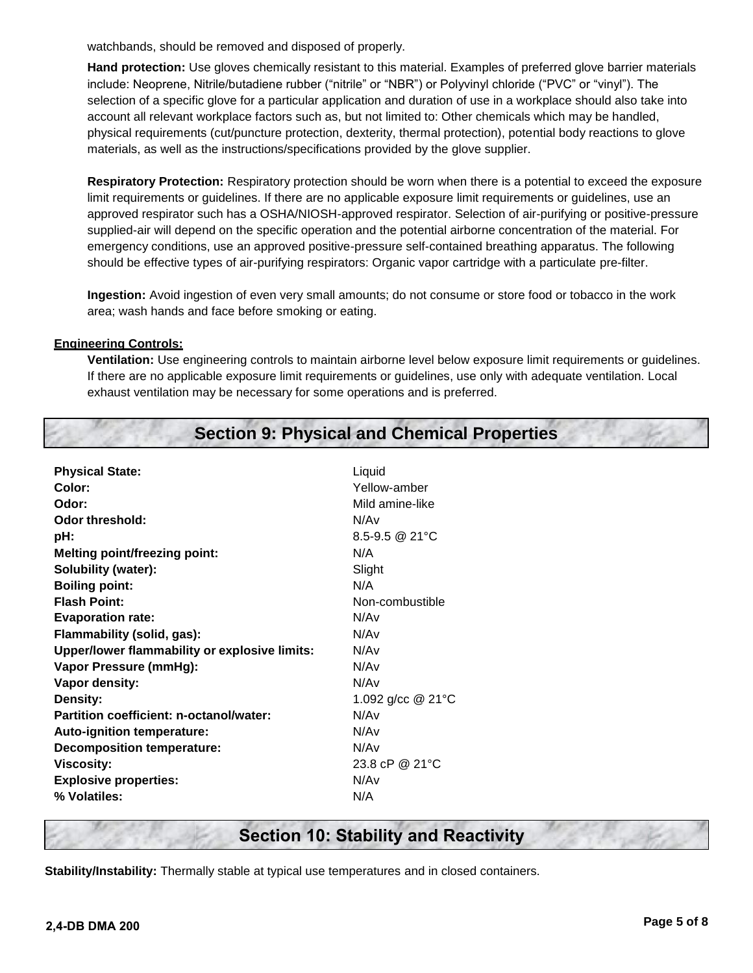watchbands, should be removed and disposed of properly.

**Hand protection:** Use gloves chemically resistant to this material. Examples of preferred glove barrier materials include: Neoprene, Nitrile/butadiene rubber ("nitrile" or "NBR") or Polyvinyl chloride ("PVC" or "vinyl"). The selection of a specific glove for a particular application and duration of use in a workplace should also take into account all relevant workplace factors such as, but not limited to: Other chemicals which may be handled, physical requirements (cut/puncture protection, dexterity, thermal protection), potential body reactions to glove materials, as well as the instructions/specifications provided by the glove supplier.

**Respiratory Protection:** Respiratory protection should be worn when there is a potential to exceed the exposure limit requirements or guidelines. If there are no applicable exposure limit requirements or guidelines, use an approved respirator such has a OSHA/NIOSH-approved respirator. Selection of air-purifying or positive-pressure supplied-air will depend on the specific operation and the potential airborne concentration of the material. For emergency conditions, use an approved positive-pressure self-contained breathing apparatus. The following should be effective types of air-purifying respirators: Organic vapor cartridge with a particulate pre-filter.

**Ingestion:** Avoid ingestion of even very small amounts; do not consume or store food or tobacco in the work area; wash hands and face before smoking or eating.

#### **Engineering Controls:**

**Ventilation:** Use engineering controls to maintain airborne level below exposure limit requirements or guidelines. If there are no applicable exposure limit requirements or guidelines, use only with adequate ventilation. Local exhaust ventilation may be necessary for some operations and is preferred.

|  |  | <b>Section 9: Physical and Chemical Properties</b> |  |
|--|--|----------------------------------------------------|--|
|--|--|----------------------------------------------------|--|

| Liquid              |
|---------------------|
| Yellow-amber        |
| Mild amine-like     |
| N/A <sub>v</sub>    |
| $8.5 - 9.5$ @ 21 °C |
| N/A                 |
| Slight              |
| N/A                 |
| Non-combustible     |
| N/Av                |
| N/A <sub>v</sub>    |
| N/A <sub>v</sub>    |
| N/A <sub>v</sub>    |
| N/A <sub>v</sub>    |
| 1.092 g/cc $@21°C$  |
| N/Av                |
| N/A <sub>v</sub>    |
| N/Av                |
| 23.8 cP @ 21°C      |
| N/A <sub>v</sub>    |
| N/A                 |
|                     |

### **Section 10: Stability and Reactivity**

**Stability/Instability:** Thermally stable at typical use temperatures and in closed containers.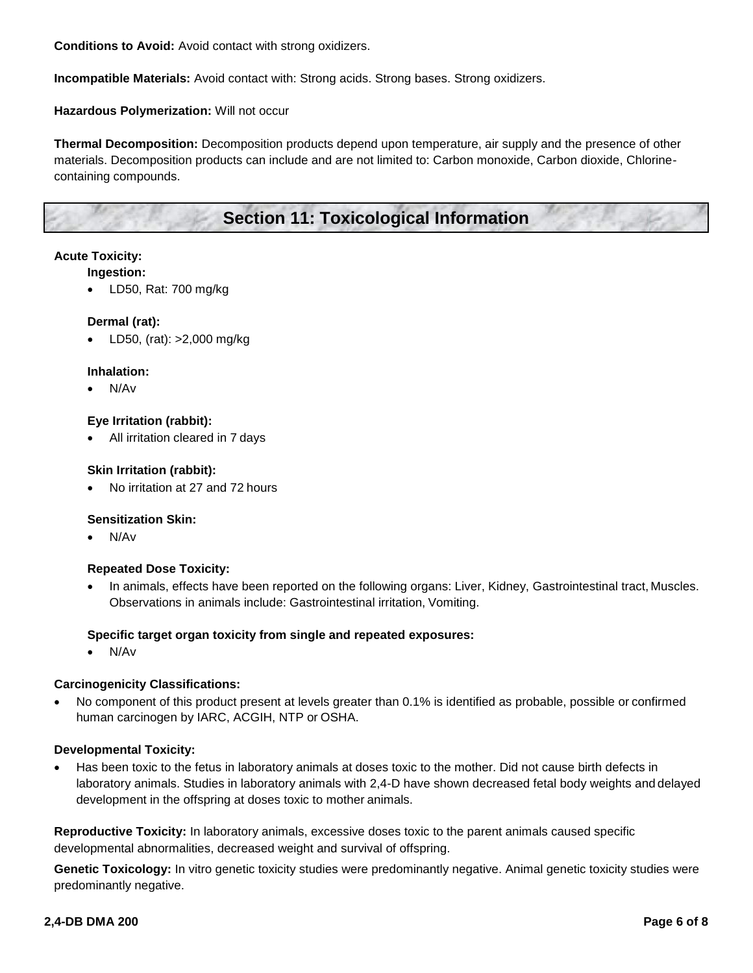**Conditions to Avoid:** Avoid contact with strong oxidizers.

**Incompatible Materials:** Avoid contact with: Strong acids. Strong bases. Strong oxidizers.

#### **Hazardous Polymerization:** Will not occur

**Thermal Decomposition:** Decomposition products depend upon temperature, air supply and the presence of other materials. Decomposition products can include and are not limited to: Carbon monoxide, Carbon dioxide, Chlorinecontaining compounds.

### **Section 11: Toxicological Information**

#### **Acute Toxicity:**

#### **Ingestion:**

LD50, Rat: 700 mg/kg

#### **Dermal (rat):**

LD50, (rat): >2,000 mg/kg

#### **Inhalation:**

N/Av

#### **Eye Irritation (rabbit):**

All irritation cleared in 7 days

#### **Skin Irritation (rabbit):**

No irritation at 27 and 72 hours

#### **Sensitization Skin:**

N/Av

#### **Repeated Dose Toxicity:**

 In animals, effects have been reported on the following organs: Liver, Kidney, Gastrointestinal tract, Muscles. Observations in animals include: Gastrointestinal irritation, Vomiting.

#### **Specific target organ toxicity from single and repeated exposures:**

N/Av

#### **Carcinogenicity Classifications:**

 No component of this product present at levels greater than 0.1% is identified as probable, possible or confirmed human carcinogen by IARC, ACGIH, NTP or OSHA.

#### **Developmental Toxicity:**

 Has been toxic to the fetus in laboratory animals at doses toxic to the mother. Did not cause birth defects in laboratory animals. Studies in laboratory animals with 2,4-D have shown decreased fetal body weights and delayed development in the offspring at doses toxic to mother animals.

**Reproductive Toxicity:** In laboratory animals, excessive doses toxic to the parent animals caused specific developmental abnormalities, decreased weight and survival of offspring.

**Genetic Toxicology:** In vitro genetic toxicity studies were predominantly negative. Animal genetic toxicity studies were predominantly negative.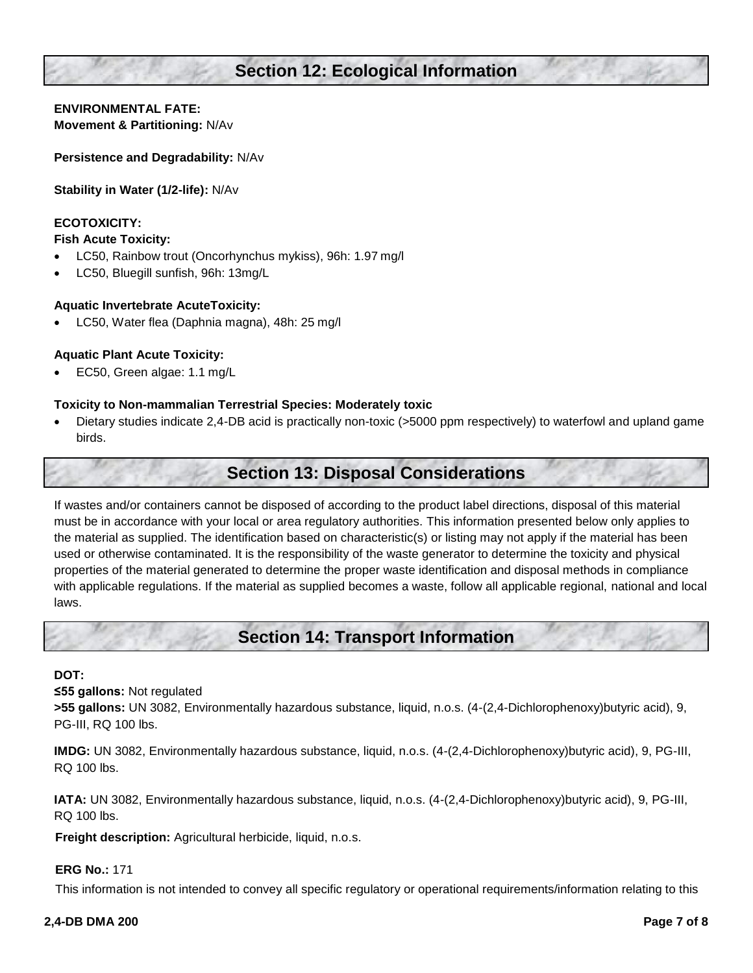### **Section 12: Ecological Information**

#### **ENVIRONMENTAL FATE: Movement & Partitioning:** N/Av

**Persistence and Degradability:** N/Av

**Stability in Water (1/2-life):** N/Av

#### **ECOTOXICITY:**

#### **Fish Acute Toxicity:**

- LC50, Rainbow trout (Oncorhynchus mykiss), 96h: 1.97 mg/l
- LC50, Bluegill sunfish, 96h: 13mg/L

#### **Aquatic Invertebrate AcuteToxicity:**

LC50, Water flea (Daphnia magna), 48h: 25 mg/l

#### **Aquatic Plant Acute Toxicity:**

EC50, Green algae: 1.1 mg/L

#### **Toxicity to Non-mammalian Terrestrial Species: Moderately toxic**

 Dietary studies indicate 2,4-DB acid is practically non-toxic (>5000 ppm respectively) to waterfowl and upland game birds.

### **Section 13: Disposal Considerations**

If wastes and/or containers cannot be disposed of according to the product label directions, disposal of this material must be in accordance with your local or area regulatory authorities. This information presented below only applies to the material as supplied. The identification based on characteristic(s) or listing may not apply if the material has been used or otherwise contaminated. It is the responsibility of the waste generator to determine the toxicity and physical properties of the material generated to determine the proper waste identification and disposal methods in compliance with applicable regulations. If the material as supplied becomes a waste, follow all applicable regional, national and local laws.

### **Section 14: Transport Information**

#### **DOT:**

#### **≤55 gallons:** Not regulated

**>55 gallons:** UN 3082, Environmentally hazardous substance, liquid, n.o.s. (4-(2,4-Dichlorophenoxy)butyric acid), 9, PG-III, RQ 100 lbs.

**IMDG:** UN 3082, Environmentally hazardous substance, liquid, n.o.s. (4-(2,4-Dichlorophenoxy)butyric acid), 9, PG-III, RQ 100 lbs.

**IATA:** UN 3082, Environmentally hazardous substance, liquid, n.o.s. (4-(2,4-Dichlorophenoxy)butyric acid), 9, PG-III, RQ 100 lbs.

**Freight description:** Agricultural herbicide, liquid, n.o.s.

#### **ERG No.:** 171

This information is not intended to convey all specific regulatory or operational requirements/information relating to this